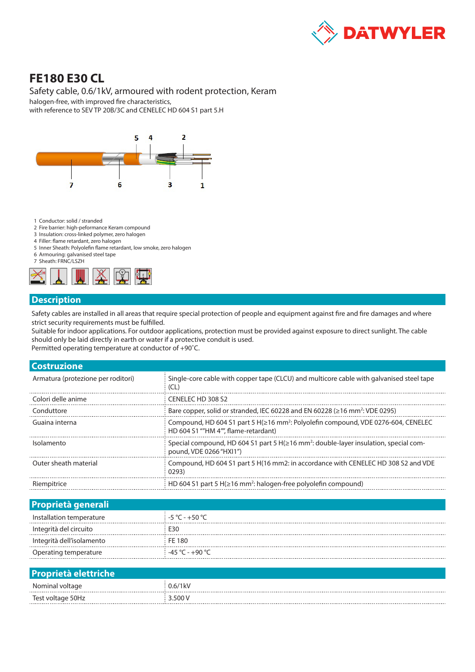

# **FE180 E30 CL**

### Safety cable, 0.6/1kV, armoured with rodent protection, Keram

halogen-free, with improved fire characteristics, with reference to SEV TP 20B/3C and CENELEC HD 604 S1 part 5.H



- 1 Conductor: solid / stranded
- 2 Fire barrier: high-peformance Keram compound
- 3 Insulation: cross-linked polymer, zero halogen
- 4 Filler: flame retardant, zero halogen
- 5 Inner Sheath: Polyolefin flame retardant, low smoke, zero halogen 6 Armouring: galvanised steel tape
- 7 Sheath: FRNC/LSZH



### **Description**

Safety cables are installed in all areas that require special protection of people and equipment against fire and fire damages and where strict security requirements must be fulfilled.

Suitable for indoor applications. For outdoor applications, protection must be provided against exposure to direct sunlight. The cable should only be laid directly in earth or water if a protective conduit is used.

Permitted operating temperature at conductor of +90˚C.

| <b>Costruzione</b>                 |                                                                                                                                              |  |  |  |
|------------------------------------|----------------------------------------------------------------------------------------------------------------------------------------------|--|--|--|
| Armatura (protezione per roditori) | Single-core cable with copper tape (CLCU) and multicore cable with galvanised steel tape<br>(CL)                                             |  |  |  |
| Colori delle anime                 | CENELECTED 308 S2                                                                                                                            |  |  |  |
| Conduttore                         | Bare copper, solid or stranded, IEC 60228 and EN 60228 ( $\geq$ 16 mm <sup>2</sup> : VDE 0295)                                               |  |  |  |
| Guaina interna                     | Compound, HD 604 S1 part 5 H( $\geq$ 16 mm <sup>2</sup> : Polyolefin compound, VDE 0276-604, CENELEC<br>HD 604 S1 ""HM 4"", flame-retardant) |  |  |  |
| Isolamento                         | Special compound, HD 604 S1 part 5 H(≥16 mm <sup>2</sup> : double-layer insulation, special com-<br>pound, VDE 0266 "HXI1")                  |  |  |  |
| Outer sheath material              | Compound, HD 604 S1 part 5 H(16 mm2; in accordance with CENELEC HD 308 S2 and VDE<br>0293)                                                   |  |  |  |
| Riempitrice                        | HD 604 S1 part 5 H $(\geq 16$ mm <sup>2</sup> ; halogen-free polyolefin compound)                                                            |  |  |  |

| <b>Proprietà generali</b> |                                   |
|---------------------------|-----------------------------------|
| Installation temperature  | $-5^{\circ}$ C - +50 $^{\circ}$ C |
| Integrità del circuito    | F30                               |
| Integrità dell'isolamento | FF 180                            |
| Operating temperature     | ່ -45 ℃ - +90 ℃                   |
|                           |                                   |

| <b>Proprietà elettriche</b> |         |
|-----------------------------|---------|
| Nominal voltage             | 0.6/1kV |
| Test voltage 50Hz           | 3.500V  |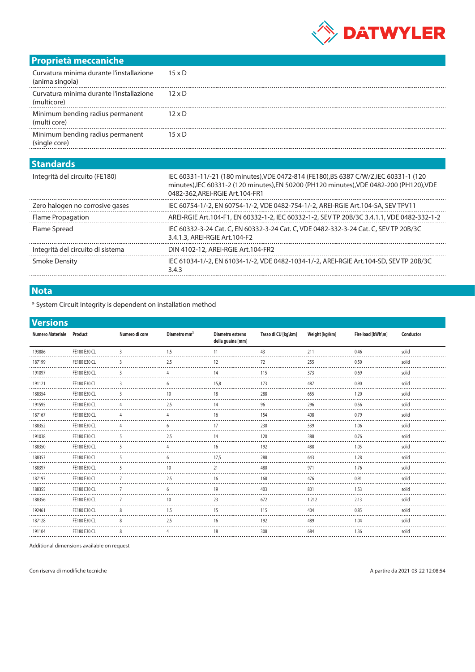

## **Proprietà meccaniche**

| Curvatura minima durante l'installazione<br>(anima singola) | $15 \times D$ |
|-------------------------------------------------------------|---------------|
| Curvatura minima durante l'installazione<br>(multicore)     | $12 \times D$ |
| Minimum bending radius permanent<br>(multi core)            | $12 \times D$ |
| Minimum bending radius permanent<br>'single core)           | $15 \times D$ |

#### **Standards**

| ----------                        |                                                                                                                                                                                                                       |
|-----------------------------------|-----------------------------------------------------------------------------------------------------------------------------------------------------------------------------------------------------------------------|
| Integrità del circuito (FE180)    | IEC 60331-11/-21 (180 minutes), VDE 0472-814 (FE180), BS 6387 C/W/Z, IEC 60331-1 (120<br>minutes), IEC 60331-2 (120 minutes), EN 50200 (PH120 minutes), VDE 0482-200 (PH120), VDE<br>0482-362, AREI-RGIE Art. 104-FR1 |
| Zero halogen no corrosive gases   | IEC 60754-1/-2, EN 60754-1/-2, VDE 0482-754-1/-2, AREI-RGIE Art.104-SA, SEV TPV11                                                                                                                                     |
| Flame Propagation                 | AREI-RGIE Art.104-F1, EN 60332-1-2, IEC 60332-1-2, SEV TP 20B/3C 3.4.1.1, VDE 0482-332-1-2                                                                                                                            |
| Flame Spread                      | IEC 60332-3-24 Cat. C, EN 60332-3-24 Cat. C, VDE 0482-332-3-24 Cat. C, SEV TP 20B/3C<br>3.4.1.3, AREI-RGIE Art.104-F2                                                                                                 |
| Integrità del circuito di sistema | DIN 4102-12, AREI-RGIE Art.104-FR2                                                                                                                                                                                    |
| <b>Smoke Density</b>              | IEC 61034-1/-2, EN 61034-1/-2, VDE 0482-1034-1/-2, AREI-RGIE Art.104-SD, SEV TP 20B/3C<br>3.4.3                                                                                                                       |
|                                   |                                                                                                                                                                                                                       |

### **Nota**

\* System Circuit Integrity is dependent on installation method

| <b>Versions</b>          |              |                |                          |                                       |                     |                |                   |           |
|--------------------------|--------------|----------------|--------------------------|---------------------------------------|---------------------|----------------|-------------------|-----------|
| Numero Materiale Product |              | Numero di core | Diametro mm <sup>2</sup> | Diametro esterno<br>della guaina [mm] | Tasso di CU [kg\km] | Weight [kg\km] | Fire load [kWh\m] | Conductor |
| 193886                   | FE180 E30 CL |                | 1.5                      |                                       | 43                  | 211            | 0.46              | solid     |
| 187199                   | FE180 E30 CL |                | 2.5                      | 12                                    | 72                  | 255            | 0.50              | solid     |
| 191097                   | FE180 E30 CL |                |                          | 14                                    | 115                 | 373            | 0.69              | solid     |
| 191121                   | FE180 E30 CL | 3              | 6                        | 15,8                                  | 173                 | 487            | 0,90              | solid     |
| 188354                   | FE180 E30 CL |                | 10                       | 18                                    | 288                 | 655            | 1,20              | solid     |
| 191595                   | FE180 E30 CL |                | 2.5                      |                                       | 96                  | 296            | 0.56              | solid     |
| 187167                   | FE180 E30 CL |                |                          | 16                                    | 154                 | 408            | 0.79              | solid     |
| 188352                   | FE180 E30 CL |                |                          | 17                                    | 230                 | 539            | 1.06              | solid     |
| 191038                   | FE180 E30 CL |                | 2.5                      | 14                                    | 120                 | 388            | 0.76              | solid     |
| 188350                   | FE180 E30 CL | 5              |                          | 16                                    | 192                 | 488            | 1.05              | solid     |
| 188353                   | FE180 E30 CL |                |                          | 17,5                                  | 288                 | 643            | 1,28              | solid     |
| 188397                   | FE180 E30 CL |                |                          | 21                                    | 480                 | 971            | 1.76              | solid     |
| 187197                   | FE180 E30 CL |                | 25                       | 16                                    | 168                 | 476            | 0.91              | solid     |
| 188355                   | FE180 E30 CL |                |                          | 19                                    | 403                 | 801            | 1.53              | solid     |
| 188356                   | FE180 E30 CL |                | 10                       | 23                                    | 672                 | 1.212          | 2.13              | solid     |
| 192461                   | FE180 E30 CL | 8              | 1.5                      | 15                                    | 115                 | 404            | 0,85              | solid     |
| 187128                   | FE180 E30 CL |                | 2.5                      | 16                                    | 192                 | 489            | 1.04              | solid     |
| 191104                   | FE180 E30 CL | 8              |                          | 18                                    | 308                 | 684            | 1,36              | solid     |

Additional dimensions available on request

Con riserva di modifiche tecniche A partire da 2021-03-22 12:08:54